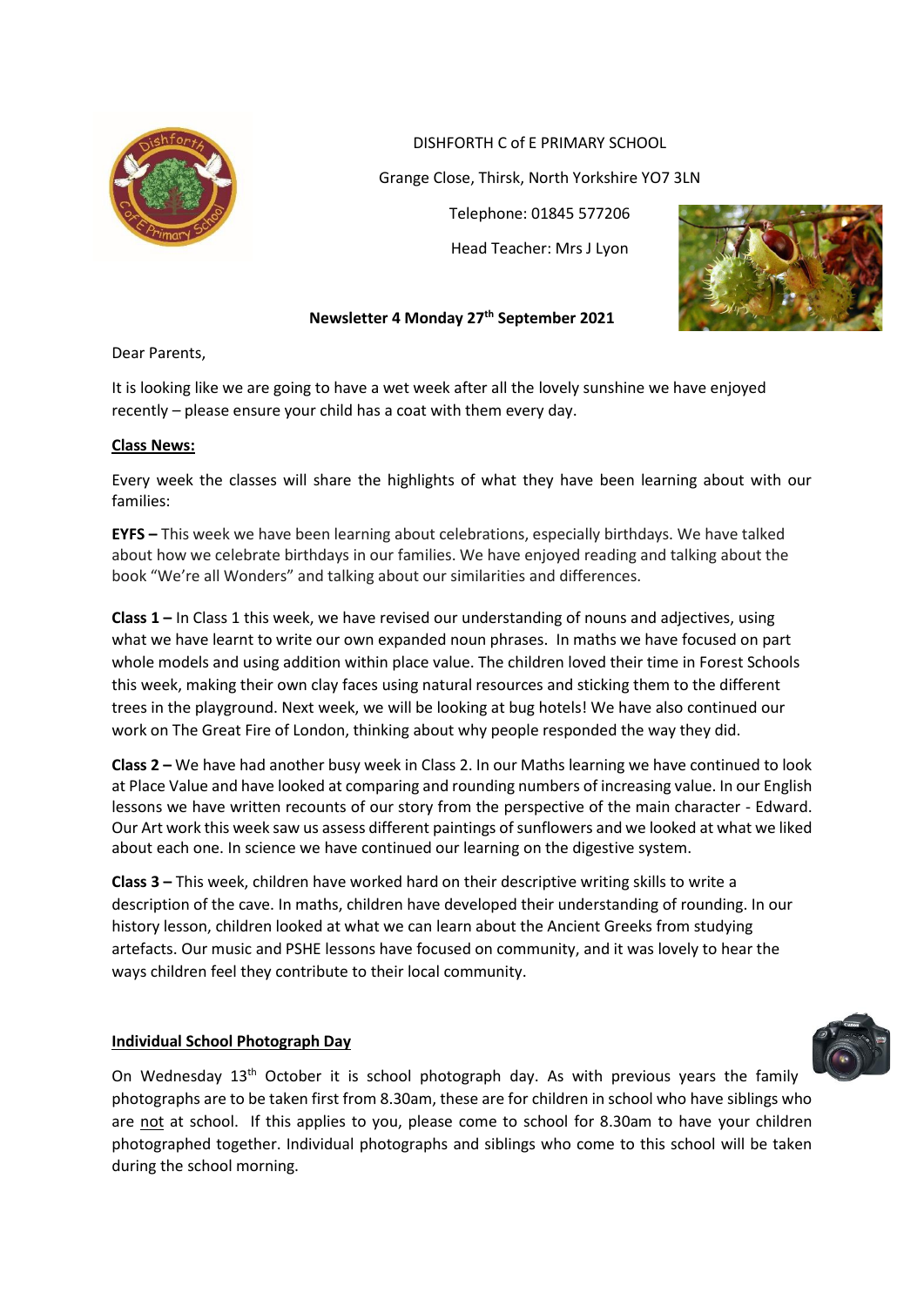

DISHFORTH C of E PRIMARY SCHOOL

Grange Close, Thirsk, North Yorkshire YO7 3LN

Telephone: 01845 577206 Head Teacher: Mrs J Lyon



## **Newsletter 4 Monday 27 th September 2021**

Dear Parents,

It is looking like we are going to have a wet week after all the lovely sunshine we have enjoyed recently – please ensure your child has a coat with them every day.

### **Class News:**

Every week the classes will share the highlights of what they have been learning about with our families:

**EYFS –** This week we have been learning about celebrations, especially birthdays. We have talked about how we celebrate birthdays in our families. We have enjoyed reading and talking about the book "We're all Wonders" and talking about our similarities and differences.

**Class 1 –** In Class 1 this week, we have revised our understanding of nouns and adjectives, using what we have learnt to write our own expanded noun phrases. In maths we have focused on part whole models and using addition within place value. The children loved their time in Forest Schools this week, making their own clay faces using natural resources and sticking them to the different trees in the playground. Next week, we will be looking at bug hotels! We have also continued our work on The Great Fire of London, thinking about why people responded the way they did.

**Class 2 –** We have had another busy week in Class 2. In our Maths learning we have continued to look at Place Value and have looked at comparing and rounding numbers of increasing value. In our English lessons we have written recounts of our story from the perspective of the main character - Edward. Our Art work this week saw us assess different paintings of sunflowers and we looked at what we liked about each one. In science we have continued our learning on the digestive system.

**Class 3 –** This week, children have worked hard on their descriptive writing skills to write a description of the cave. In maths, children have developed their understanding of rounding. In our history lesson, children looked at what we can learn about the Ancient Greeks from studying artefacts. Our music and PSHE lessons have focused on community, and it was lovely to hear the ways children feel they contribute to their local community.

#### **Individual School Photograph Day**



On Wednesday 13<sup>th</sup> October it is school photograph day. As with previous years the family photographs are to be taken first from 8.30am, these are for children in school who have siblings who are not at school. If this applies to you, please come to school for 8.30am to have your children photographed together. Individual photographs and siblings who come to this school will be taken during the school morning.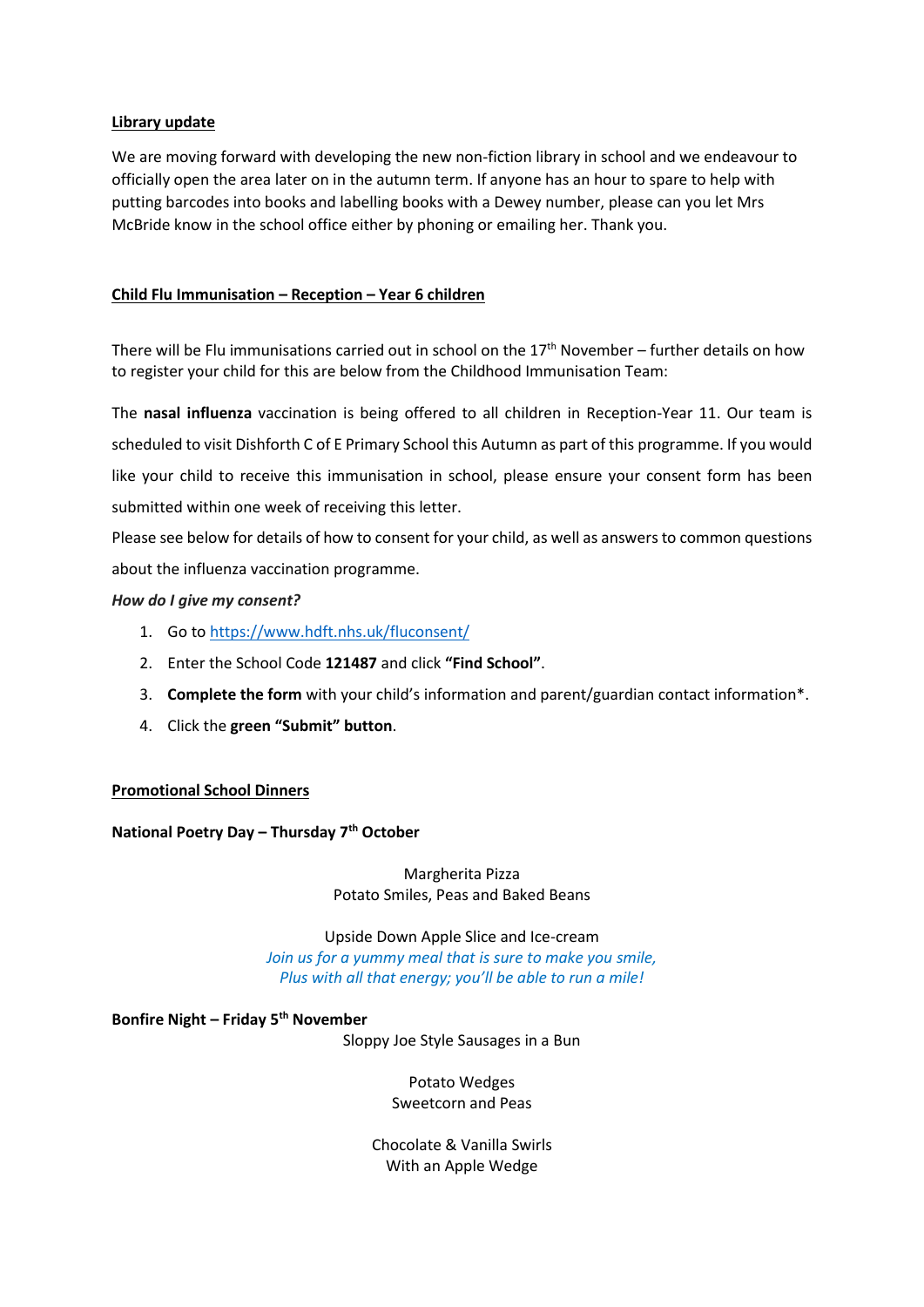#### **Library update**

We are moving forward with developing the new non-fiction library in school and we endeavour to officially open the area later on in the autumn term. If anyone has an hour to spare to help with putting barcodes into books and labelling books with a Dewey number, please can you let Mrs McBride know in the school office either by phoning or emailing her. Thank you.

### **Child Flu Immunisation – Reception – Year 6 children**

There will be Flu immunisations carried out in school on the  $17<sup>th</sup>$  November – further details on how to register your child for this are below from the Childhood Immunisation Team:

The **nasal influenza** vaccination is being offered to all children in Reception-Year 11. Our team is scheduled to visit Dishforth C of E Primary School this Autumn as part of this programme. If you would like your child to receive this immunisation in school, please ensure your consent form has been submitted within one week of receiving this letter.

Please see below for details of how to consent for your child, as well as answers to common questions about the influenza vaccination programme.

#### *How do I give my consent?*

- 1. Go to [https://www.hdft.nhs.uk/fluconsent/](https://www.hdft.nhs.uk/fluconsent)
- 2. Enter the School Code **121487** and click **"Find School"**.
- 3. **Complete the form** with your child's information and parent/guardian contact information\*.
- 4. Click the **green "Submit" button**.

#### **Promotional School Dinners**

#### **National Poetry Day – Thursday 7th October**

Margherita Pizza Potato Smiles, Peas and Baked Beans

Upside Down Apple Slice and Ice-cream *Join us for a yummy meal that is sure to make you smile, Plus with all that energy; you'll be able to run a mile!*

**Bonfire Night – Friday 5th November**

Sloppy Joe Style Sausages in a Bun

Potato Wedges Sweetcorn and Peas

Chocolate & Vanilla Swirls With an Apple Wedge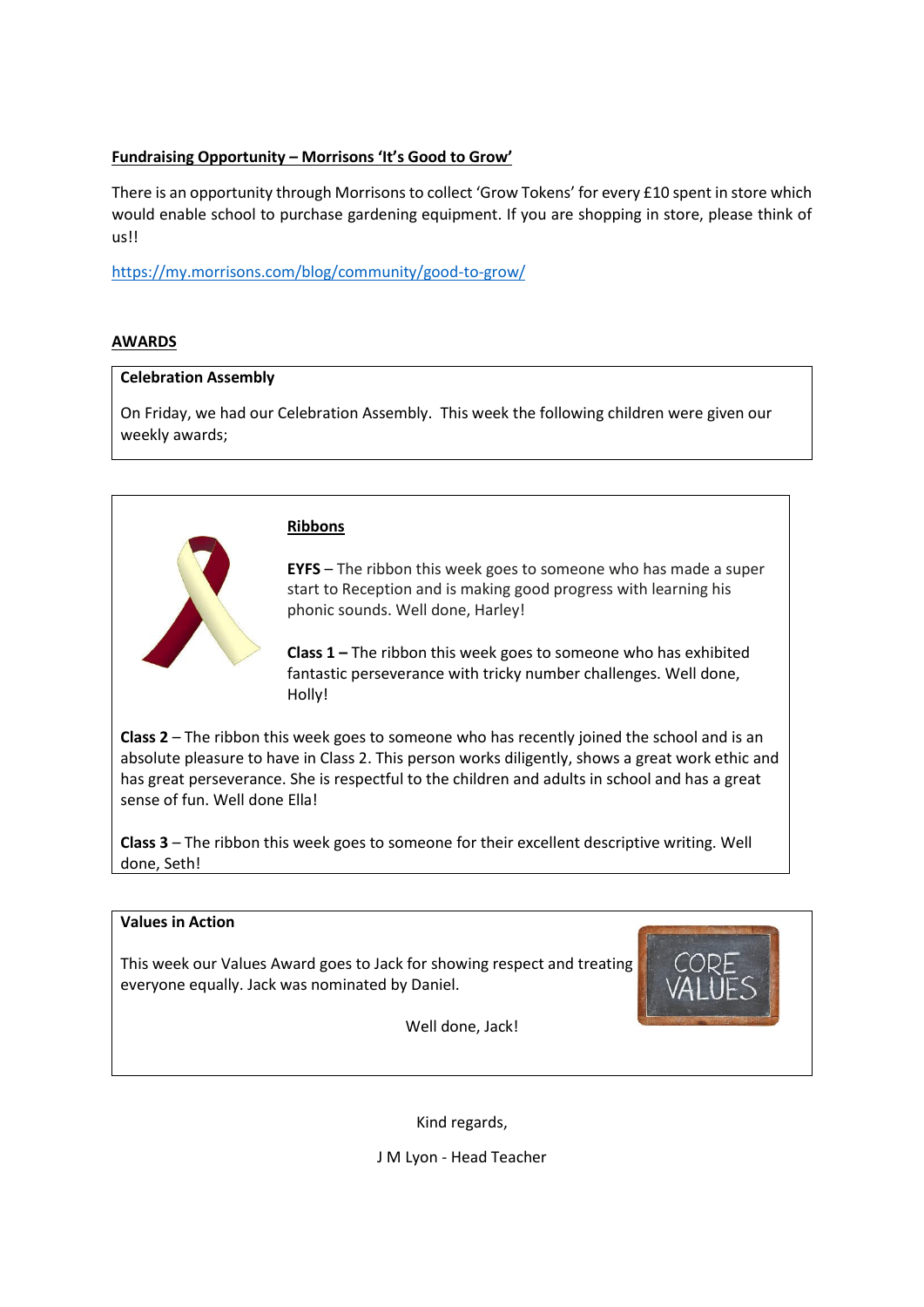# **Fundraising Opportunity – Morrisons 'It's Good to Grow'**

There is an opportunity through Morrisons to collect 'Grow Tokens' for every £10 spent in store which would enable school to purchase gardening equipment. If you are shopping in store, please think of us!!

<https://my.morrisons.com/blog/community/good-to-grow/>

### **AWARDS**

### **Celebration Assembly**

On Friday, we had our Celebration Assembly. This week the following children were given our weekly awards;



### **Ribbons**

**EYFS** – The ribbon this week goes to someone who has made a super start to Reception and is making good progress with learning his phonic sounds. Well done, Harley!

**Class 1 –** The ribbon this week goes to someone who has exhibited fantastic perseverance with tricky number challenges. Well done, Holly!

**Class 2** – The ribbon this week goes to someone who has recently joined the school and is an absolute pleasure to have in Class 2. This person works diligently, shows a great work ethic and has great perseverance. She is respectful to the children and adults in school and has a great sense of fun. Well done Ella!

**Class 3** – The ribbon this week goes to someone for their excellent descriptive writing. Well done, Seth!

### **Values in Action**

This week our Values Award goes to Jack for showing respect and treating everyone equally. Jack was nominated by Daniel.



Well done, Jack!

Kind regards,

J M Lyon - Head Teacher